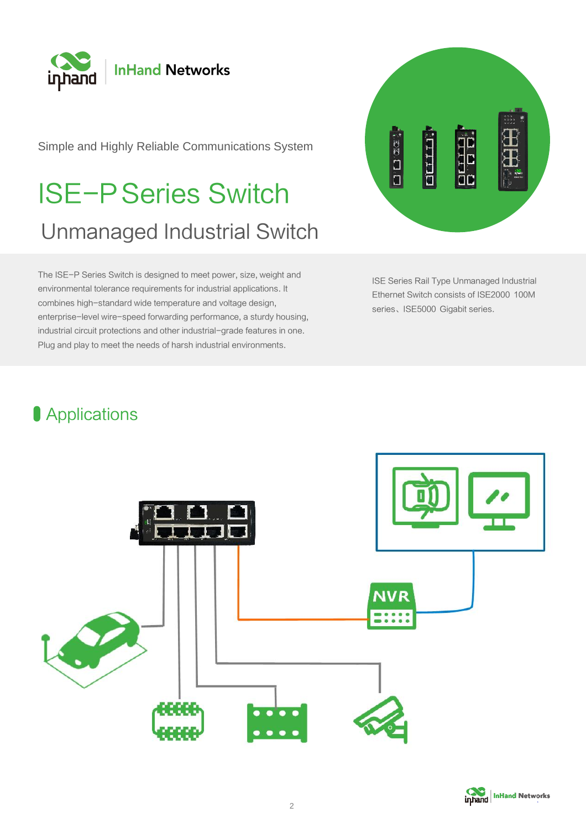

Simple and Highly Reliable Communications System

# ISE-PSeries Switch Unmanaged Industrial Switch

The ISE-P Series Switch is designed to meet power, size, weight and environmental tolerance requirements for industrial applications. It combines high-standard wide temperature and voltage design, enterprise-level wire-speed forwarding performance, a sturdy housing, industrial circuit protections and other industrial-grade features in one. Plug and play to meet the needs of harsh industrial environments.



ISE Series Rail Type Unmanaged Industrial Ethernet Switch consists of ISE2000 100M series、ISE5000 Gigabit series.

# **Applications**



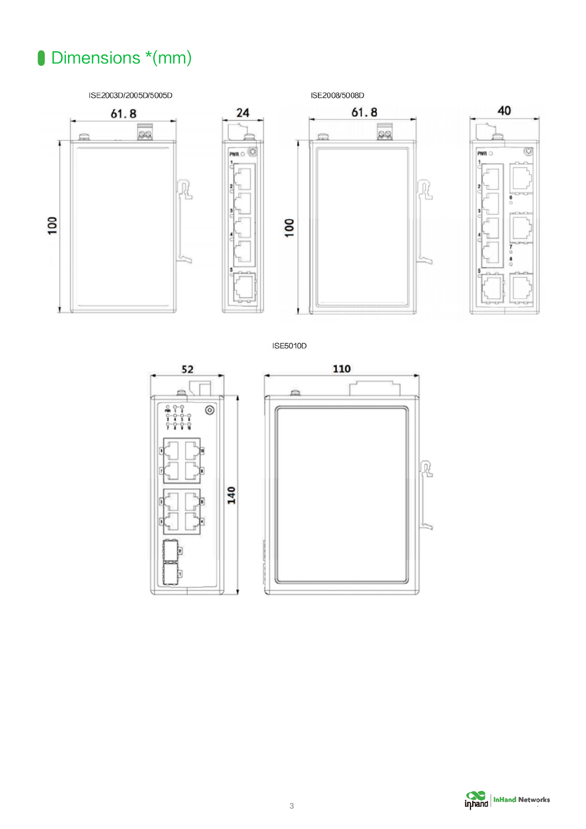# Dimensions \*(mm)



**ISE5010D** 





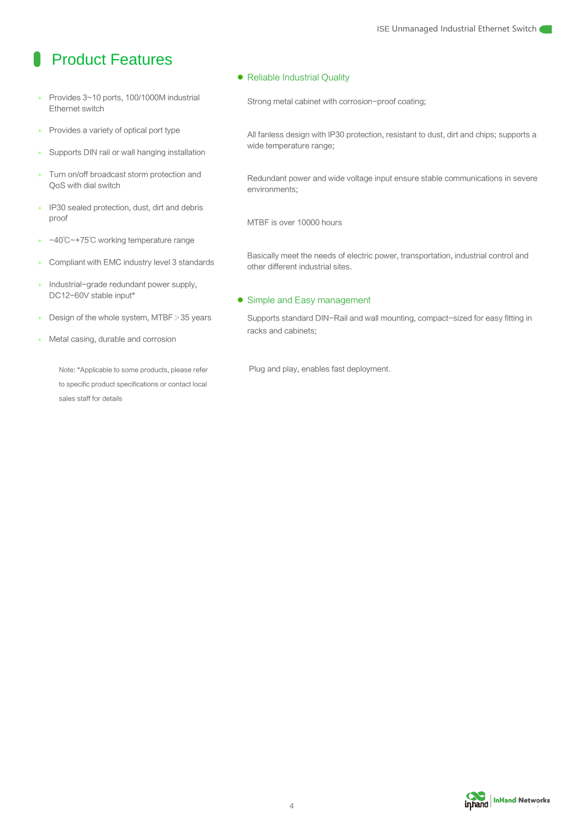### **Product Features**

- Provides 3~10 ports, 100/1000M industrial Ethernet switch
- + Provides a variety of optical port type
- + Supports DIN rail or wall hanging installation
- + Turn on/off broadcast storm protection and QoS with dial switch
- + IP30 sealed protection, dust, dirt and debris proof
- + -40℃~+75℃ working temperature range
- + Compliant with EMC industry level 3 standards
- + Industrial-grade redundant power supply, DC12-60V stable input\*
- + Design of the whole system, MTBF>35 years
- Metal casing, durable and corrosion

Note: \*Applicable to some products, please refer to specific product specifications or contact local sales staff for details

⚫ Reliable Industrial Quality

Strong metal cabinet with corrosion-proof coating;

All fanless design with IP30 protection, resistant to dust, dirt and chips; supports a wide temperature range;

Redundant power and wide voltage input ensure stable communications in severe environments;

MTBF is over 10000 hours

Basically meet the needs of electric power, transportation, industrial control and other different industrial sites.

#### ● Simple and Easy management

Supports standard DIN-Rail and wall mounting, compact-sized for easy fitting in racks and cabinets;

Plug and play, enables fast deployment.

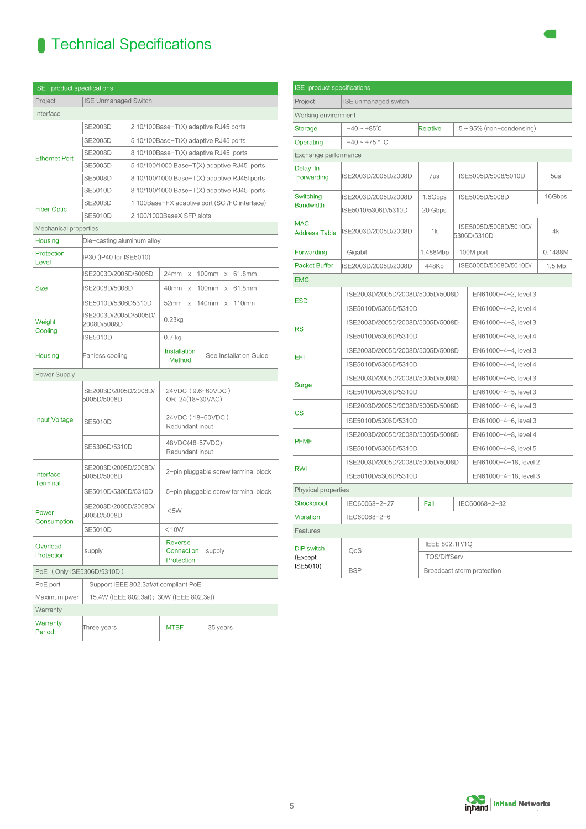# **Technical Specifications**

| <b>ISE</b><br>product specifications |                                          |                                               |                                              |                                             |  |  |
|--------------------------------------|------------------------------------------|-----------------------------------------------|----------------------------------------------|---------------------------------------------|--|--|
| Project                              | <b>ISE Unmanaged Switch</b>              |                                               |                                              |                                             |  |  |
| Interface                            |                                          |                                               |                                              |                                             |  |  |
| <b>Ethernet Port</b>                 | <b>ISE2003D</b>                          |                                               | 2 10/100Base-T(X) adaptive RJ45 ports        |                                             |  |  |
|                                      | <b>ISE2005D</b>                          | 510/100Base-T(X) adaptive RJ45 ports          |                                              |                                             |  |  |
|                                      | <b>ISE2008D</b>                          |                                               | 8 10/100Base-T(X) adaptive RJ45 ports        |                                             |  |  |
|                                      | <b>ISE5005D</b>                          |                                               | $510/100/1000$ Base-T(X) adaptive RJ45 ports |                                             |  |  |
|                                      | <b>ISE5008D</b>                          |                                               | 8 10/100/1000 Base-T(X) adaptive RJ45I ports |                                             |  |  |
|                                      | <b>ISE5010D</b>                          |                                               |                                              | 8 10/100/1000 Base-T(X) adaptive RJ45 ports |  |  |
| <b>Fiber Optic</b>                   | <b>ISE2003D</b>                          | 1 100Base-FX adaptive port (SC /FC interface) |                                              |                                             |  |  |
|                                      | <b>ISE5010D</b>                          | 2 100/1000BaseX SFP slots                     |                                              |                                             |  |  |
| Mechanical properties                |                                          |                                               |                                              |                                             |  |  |
| Housing                              | Die-casting aluminum alloy               |                                               |                                              |                                             |  |  |
| Protection<br>Level                  | IP30 (IP40 for ISE5010)                  |                                               |                                              |                                             |  |  |
|                                      | ISE2003D/2005D/5005D                     |                                               | 24mm• x• 100mm• x• 61.8mm                    |                                             |  |  |
| <b>Size</b>                          | ISE2008D/5008D                           |                                               | 40mm• x• 100mm• x• 61.8mm                    |                                             |  |  |
|                                      | ISE5010D/5306D5310D                      |                                               | 52mm• x• 140mm• x• 110mm•                    |                                             |  |  |
| Weight<br>Cooling                    | ISE2003D/2005D/5005D/<br>2008D/5008D     |                                               | 0.23kg                                       |                                             |  |  |
|                                      | <b>ISE5010D</b>                          |                                               | 0.7 <sub>kg</sub>                            |                                             |  |  |
| Housing                              | Fanless cooling                          |                                               | Installation<br>Method                       | See Installation Guide                      |  |  |
| Power Supply                         |                                          |                                               |                                              |                                             |  |  |
| <b>Input Voltage</b>                 | ISE2003D/2005D/2008D/<br>5005D/5008D     |                                               | 24VDC (9.6~60VDC)<br>OR 24(18~30VAC)         |                                             |  |  |
|                                      | <b>ISE5010D</b>                          |                                               | 24VDC (18-60VDC)<br>Redundant input          |                                             |  |  |
|                                      | ISE5306D/5310D                           |                                               | 48VDC(48-57VDC)<br>Redundant input           |                                             |  |  |
| Interface<br><b>Terminal</b>         | ISE2003D/2005D/2008D/<br>5005D/5008D     |                                               | 2-pin pluggable screw terminal block         |                                             |  |  |
|                                      | ISE5010D/5306D/5310D                     |                                               | 5-pin pluggable screw terminal block         |                                             |  |  |
| Power<br>Consumption                 | ISE2003D/2005D/2008D/<br>5005D/5008D     |                                               | $<$ 5W                                       |                                             |  |  |
|                                      | <b>ISE5010D</b>                          |                                               | < 10W                                        |                                             |  |  |
| Overload<br>Protection               | supply                                   |                                               | Reverse<br>Connection<br>Protection          | supply                                      |  |  |
| PoE (Only ISE5306D/5310D)            |                                          |                                               |                                              |                                             |  |  |
| PoE port                             | Support IEEE 802.3af/at compliant PoE    |                                               |                                              |                                             |  |  |
| Maximum pwer                         | 15.4W (IEEE 802.3af); 30W (IEEE 802.3at) |                                               |                                              |                                             |  |  |
| Warranty                             |                                          |                                               |                                              |                                             |  |  |
| Warranty<br>Period                   | Three years                              |                                               | MTBF                                         | 35 years                                    |  |  |
|                                      |                                          |                                               |                                              |                                             |  |  |

| <b>ISE</b> product specifications        |                                  |                       |                                      |                                |         |  |  |
|------------------------------------------|----------------------------------|-----------------------|--------------------------------------|--------------------------------|---------|--|--|
| Project                                  | ISE unmanaged switch             |                       |                                      |                                |         |  |  |
| Working environment                      |                                  |                       |                                      |                                |         |  |  |
| <b>Storage</b>                           | $-40 - +85$ °C                   | Relative              |                                      | $5 \sim 95\%$ (non-condensing) |         |  |  |
| Operating                                | $-40 - +75$ ° C                  |                       |                                      |                                |         |  |  |
| Exchange performance                     |                                  |                       |                                      |                                |         |  |  |
| Delay In<br>Forwarding                   | ISE2003D/2005D/2008D             | 7us                   | ISE5005D/5008/5010D                  |                                | 5us     |  |  |
| Switching<br><b>Bandwidth</b>            | ISE2003D/2005D/2008D             | 1.6Gbps               | ISE5005D/5008D                       |                                | 16Gbps  |  |  |
|                                          | ISE5010/5306D/5310D              | 20 Gbps               |                                      |                                |         |  |  |
| <b>MAC</b><br><b>Address Table</b>       | ISE2003D/2005D/2008D             | 1k                    | ISE5005D/5008D/5010D/<br>5306D/5310D |                                | 4k      |  |  |
| Forwarding                               | Gigabit                          | 1.488Mbp              | 100M port                            |                                | 0.1488M |  |  |
| <b>Packet Buffer</b>                     | ISE2003D/2005D/2008D             | 448Kb                 |                                      | ISE5005D/5008D/5010D/          | 1.5 Mb  |  |  |
| <b>EMC</b>                               |                                  |                       |                                      |                                |         |  |  |
| <b>ESD</b>                               | ISE2003D/2005D/2008D/5005D/5008D |                       |                                      | EN61000-4-2, level 3           |         |  |  |
|                                          | ISE5010D/5306D/5310D             |                       | EN61000-4-2, level 4                 |                                |         |  |  |
|                                          | ISE2003D/2005D/2008D/5005D/5008D |                       |                                      | EN61000-4-3, level 3           |         |  |  |
| <b>RS</b>                                | ISE5010D/5306D/5310D             |                       | EN61000-4-3, level 4                 |                                |         |  |  |
| EFT                                      | ISE2003D/2005D/2008D/5005D/5008D |                       | EN61000-4-4, level 3                 |                                |         |  |  |
|                                          | ISE5010D/5306D/5310D             |                       | EN61000-4-4, level 4                 |                                |         |  |  |
| Surge                                    | ISE2003D/2005D/2008D/5005D/5008D |                       | EN61000-4-5, level 3                 |                                |         |  |  |
|                                          | ISE5010D/5306D/5310D             |                       | EN61000-4-5, level 3                 |                                |         |  |  |
| CS                                       | ISE2003D/2005D/2008D/5005D/5008D |                       | EN61000-4-6, level 3                 |                                |         |  |  |
|                                          | ISE5010D/5306D/5310D             |                       | EN61000-4-6, level 3                 |                                |         |  |  |
| <b>PFMF</b>                              | ISE2003D/2005D/2008D/5005D/5008D |                       | EN61000-4-8, level 4                 |                                |         |  |  |
|                                          | ISE5010D/5306D/5310D             |                       | EN61000-4-8, level 5                 |                                |         |  |  |
| <b>RWI</b>                               | ISE2003D/2005D/2008D/5005D/5008D |                       |                                      | EN61000-4-18, level 2          |         |  |  |
|                                          | ISE5010D/5306D/5310D             |                       | EN61000-4-18, level 3                |                                |         |  |  |
| Physical properties                      |                                  |                       |                                      |                                |         |  |  |
| Shockproof                               | IEC60068-2-27                    | Fall<br>IEC60068-2-32 |                                      |                                |         |  |  |
| Vibration                                | IEC60068-2-6                     |                       |                                      |                                |         |  |  |
| Features                                 |                                  |                       |                                      |                                |         |  |  |
| <b>DIP</b> switch<br>(Except<br>ISE5010) | QoS                              | IEEE 802.1P/1Q        |                                      |                                |         |  |  |
|                                          |                                  | <b>TOS/DiffServ</b>   |                                      |                                |         |  |  |
|                                          | <b>BSP</b>                       |                       | Broadcast storm protection           |                                |         |  |  |